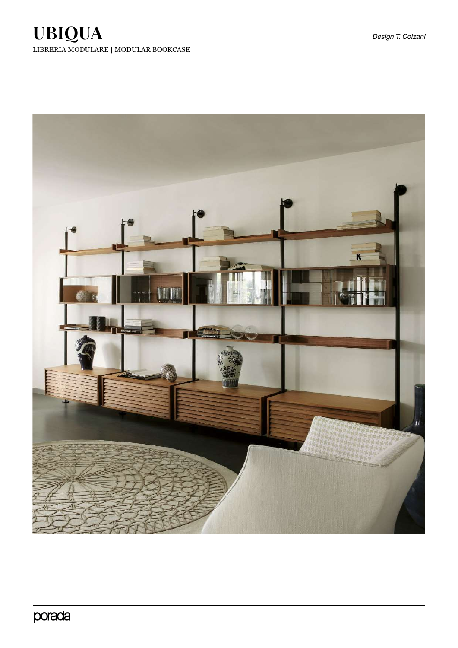LIBRERIA MODULARE | MODULAR BOOKCASE

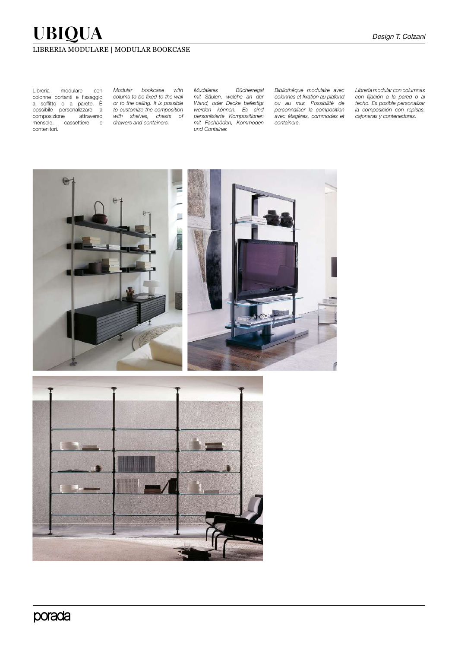### LIBRERIA MODULARE | MODULAR BOOKCASE

Libreria modulare con colonne portanti e fissaggio a soffitto o a parete. È possibile personalizzare la composizione attraverso mensole, cassettiere e contenitori.

*Modular bookcase with colums to be fixed to the wall or to the ceiling. It is possible to customize the composition with shelves, chests of drawers and containers.*

*Mudaleres Bücherregal mit Säulen, welche an der Wand, oder Decke befestigt werden können. Es sind personlisierte Kompositionen mit Fachböden, Kommoden und Container.*

*Bibliothèque modulaire avec colonnes et fixation au plafond ou au mur. Possibilité de personnaliser la composition avec étagères, commodes et containers.* 

*Librería modular con columnas con fijación a la pared o al techo. Es posible personalizar la composición con repisas, cajoneras y contenedores.*



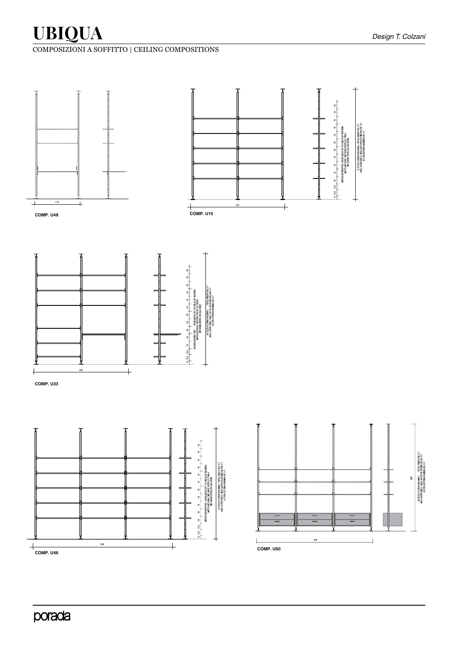









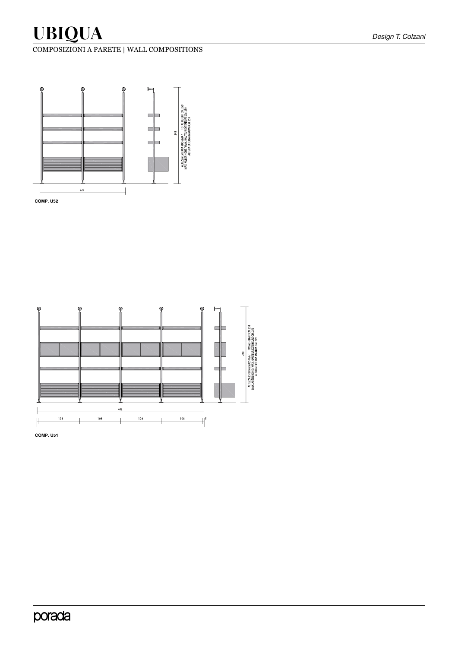COMPOSIZIONI A PARETE | WALL COMPOSITIONS





**COMP. U51**

## porada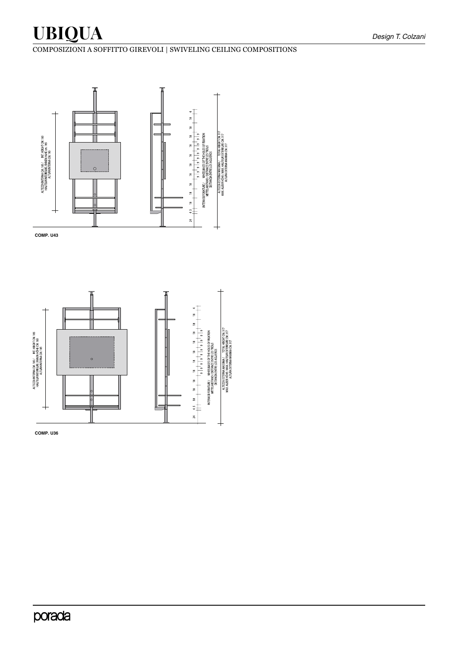## COMPOSIZIONI A SOFFITTO GIREVOLI | SWIVELING CEILING COMPOSITIONS



**COMP. U43**



**COMP. U36**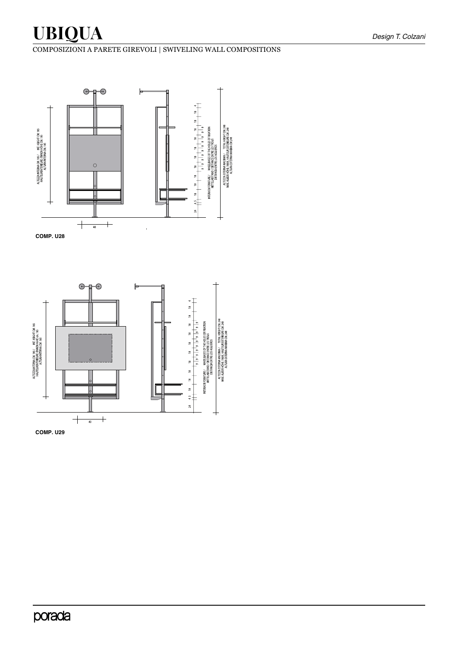### COMPOSIZIONI A PARETE GIREVOLI | SWIVELING WALL COMPOSITIONS



**COMP. U28**



**COMP. U29**

## porada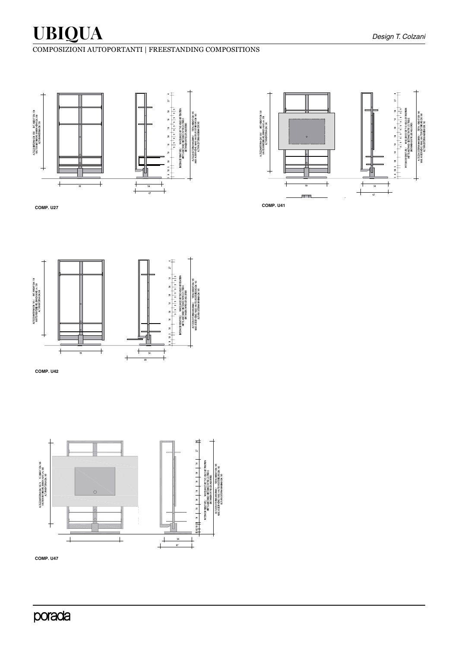## porada

**COMP. U47**



**COMP. U42**

**COMP. U27**

 $\overline{+}$ 

ALTEZZA INTERNA OM. 158/ KT. HEIGHT OM. 158<br>HAUTEUR INTEREURE / INNEN HÖHE CM. 158<br>HAUTEUR INTERNA ITERA INTERNA CM. 158



 $\overline{+}$ 

 $\overline{+}$ 

 $\overline{1}$ 

 $\ddagger$  $\overline{+}$ 



ALTEZA ESTERNA MASSIMA /<br>MAX, AUGER HÖHE / MAX, HAUTEL<br>ALTURA EXTERNA MA

## COMPOSIZIONI AUTOPORTANTI | FREESTANDING COMPOSITIONS

INTERASSI FORATURE / WHEELBASES OF THE HOLES OF FIXAT<br>MITTELABSTAND / DISTANCE ENTRE LES TROUS<br>DISTANCIA FATRIFICA AGUI FROS 

ALTEZZA ESTERNA MASSIMA / TOTAL HE<br>MAX. AUBER HOHE / MAX. HAUTEUR EXTEREU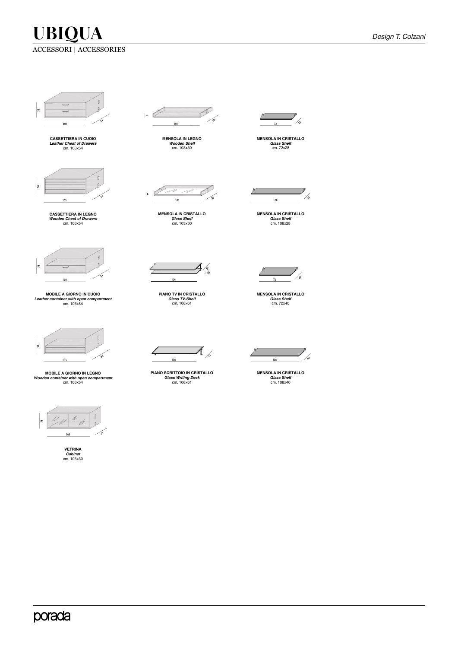

**CASSETTIERA IN CUOIO** *Leather Chest of Drawers* cm. 103x54



**CASSETTIERA IN LEGNO** *Wooden Chest of Drawers* cm. 103x54



**MOBILE A GIORNO IN CUOIO** *Leather container with open compartment* cm. 103x54



**MOBILE A GIORNO IN LEGNO** *Wooden container with open compartment* cm. 103x54



**VETRINA** *Cabinet* cm. 103x30



**MENSOLA IN LEGNO** *Wooden Shelf* cm. 103x30



**MENSOLA IN CRISTALLO** *Glass Shelf* cm. 103x30



**PIANO TV IN CRISTALLO** *Glass TV-Shelf* cm. 108x61

 $\overline{\mathcal{A}}_{\sqrt{\delta}}$  $\angle$  $108$ 

**PIANO SCRITTOIO IN CRISTALLO** *Glass Writing Desk*  cm. 108x61



**MENSOLA IN CRISTALLO** *Glass Shelf* cm. 72x28



**MENSOLA IN CRISTALLO** *Glass Shelf* cm. 108x28



**MENSOLA IN CRISTALLO** *Glass Shelf* cm. 72x40



**MENSOLA IN CRISTALLO** *Glass Shelf* cm. 108x40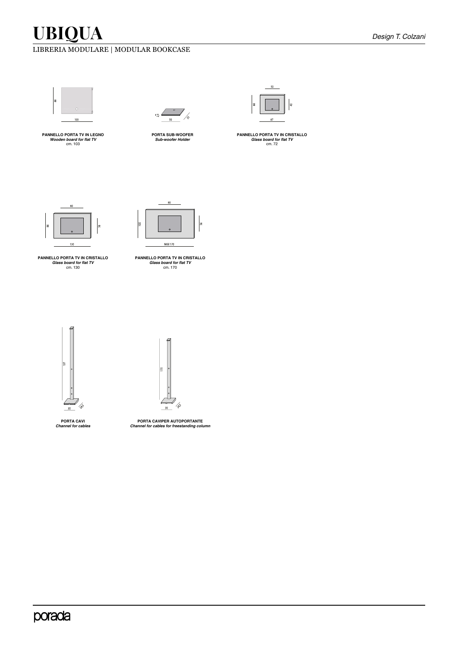### LIBRERIA MODULARE | MODULAR BOOKCASE



**PANNELLO PORTA TV IN LEGNO** *Wooden board for flat TV* cm. 103



**PORTA SUB-WOOFER** *Sub-woofer Holder*



**PANNELLO PORTA TV IN CRISTALLO** *Glass board for flat TV* cm. 72



**PANNELLO PORTA TV IN CRISTALLO** *Glass board for flat TV* cm. 130



**PANNELLO PORTA TV IN CRISTALLO** *Glass board for flat TV* cm. 170





**PORTA CAVI** *Channel for cables*

**PORTA CAVIPER AUTOPORTANTE** *Channel for cables for freestanding column*